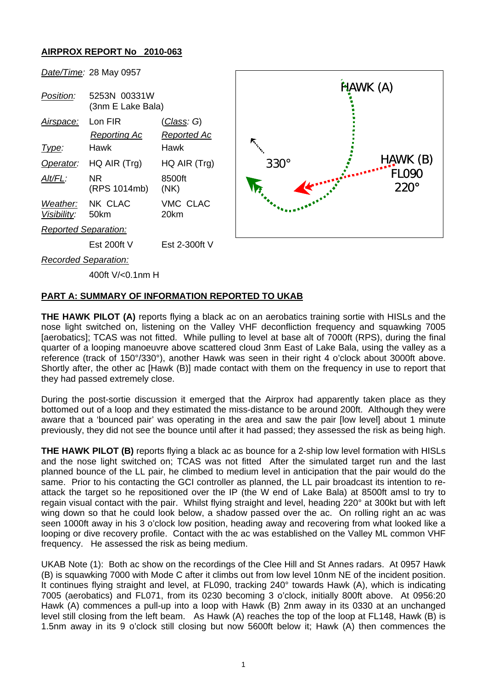## **AIRPROX REPORT No 2010-063**



400ft V/<0.1nm H

## **PART A: SUMMARY OF INFORMATION REPORTED TO UKAB**

**THE HAWK PILOT (A)** reports flying a black ac on an aerobatics training sortie with HISLs and the nose light switched on, listening on the Valley VHF deconfliction frequency and squawking 7005 [aerobatics]: TCAS was not fitted. While pulling to level at base alt of 7000ft (RPS), during the final quarter of a looping manoeuvre above scattered cloud 3nm East of Lake Bala, using the valley as a reference (track of 150°/330°), another Hawk was seen in their right 4 o'clock about 3000ft above. Shortly after, the other ac [Hawk (B)] made contact with them on the frequency in use to report that they had passed extremely close.

During the post-sortie discussion it emerged that the Airprox had apparently taken place as they bottomed out of a loop and they estimated the miss-distance to be around 200ft. Although they were aware that a 'bounced pair' was operating in the area and saw the pair [low level] about 1 minute previously, they did not see the bounce until after it had passed; they assessed the risk as being high.

**THE HAWK PILOT (B)** reports flying a black ac as bounce for a 2-ship low level formation with HISLs and the nose light switched on; TCAS was not fitted After the simulated target run and the last planned bounce of the LL pair, he climbed to medium level in anticipation that the pair would do the same. Prior to his contacting the GCI controller as planned, the LL pair broadcast its intention to reattack the target so he repositioned over the IP (the W end of Lake Bala) at 8500ft amsl to try to regain visual contact with the pair. Whilst flying straight and level, heading 220° at 300kt but with left wing down so that he could look below, a shadow passed over the ac. On rolling right an ac was seen 1000ft away in his 3 o'clock low position, heading away and recovering from what looked like a looping or dive recovery profile. Contact with the ac was established on the Valley ML common VHF frequency. He assessed the risk as being medium.

UKAB Note (1): Both ac show on the recordings of the Clee Hill and St Annes radars. At 0957 Hawk (B) is squawking 7000 with Mode C after it climbs out from low level 10nm NE of the incident position. It continues flying straight and level, at FL090, tracking 240° towards Hawk (A), which is indicating 7005 (aerobatics) and FL071, from its 0230 becoming 3 o'clock, initially 800ft above. At 0956:20 Hawk (A) commences a pull-up into a loop with Hawk (B) 2nm away in its 0330 at an unchanged level still closing from the left beam. As Hawk (A) reaches the top of the loop at FL148, Hawk (B) is 1.5nm away in its 9 o'clock still closing but now 5600ft below it; Hawk (A) then commences the